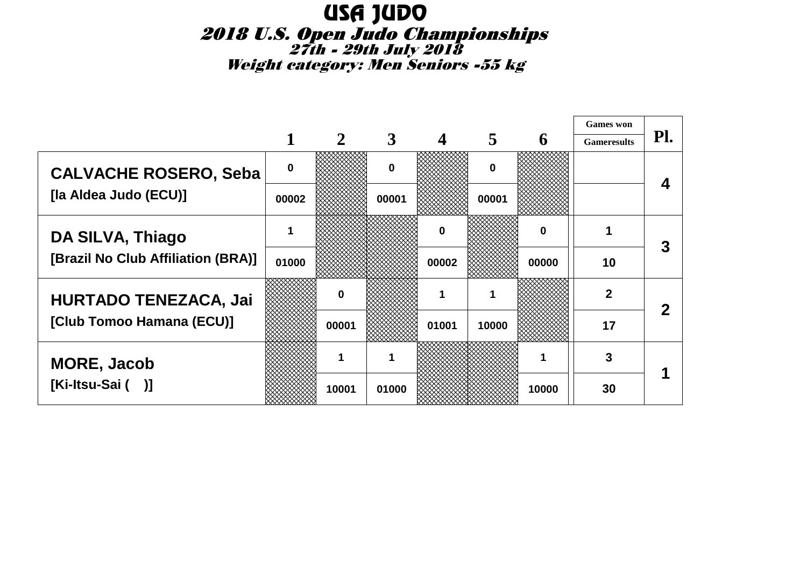# USA JUDO 2018 U.S. Open Judo Championships 27th - 29th July 2018Weight category: Men Seniors -55 kg

|                                    |          |       |          |                  |          |          | <b>Games</b> won   |     |
|------------------------------------|----------|-------|----------|------------------|----------|----------|--------------------|-----|
|                                    |          | 2     | 3        | $\boldsymbol{4}$ | 5        | 6        | <b>Gameresults</b> | Pl. |
| <b>CALVACHE ROSERO, Seba</b>       | $\bf{0}$ |       | $\Omega$ |                  | $\bf{0}$ |          |                    |     |
| [la Aldea Judo (ECU)]              | 00002    |       | 00001    |                  | 00001    |          |                    |     |
| DA SILVA, Thiago                   |          |       |          | $\mathbf{0}$     |          | $\bf{0}$ |                    | 3   |
| [Brazil No Club Affiliation (BRA)] | 01000    |       |          | 00002            |          | 00000    | 10                 |     |
| <b>HURTADO TENEZACA, Jai</b>       |          | O     |          |                  | 1        |          | 2                  |     |
| [Club Tomoo Hamana (ECU)]          |          | 00001 |          | 01001            | 10000    |          | 17                 |     |
| <b>MORE, Jacob</b>                 |          |       |          |                  |          |          | 3                  |     |
| [Ki-Itsu-Sai ()]                   |          | 10001 | 01000    |                  |          | 10000    | 30                 |     |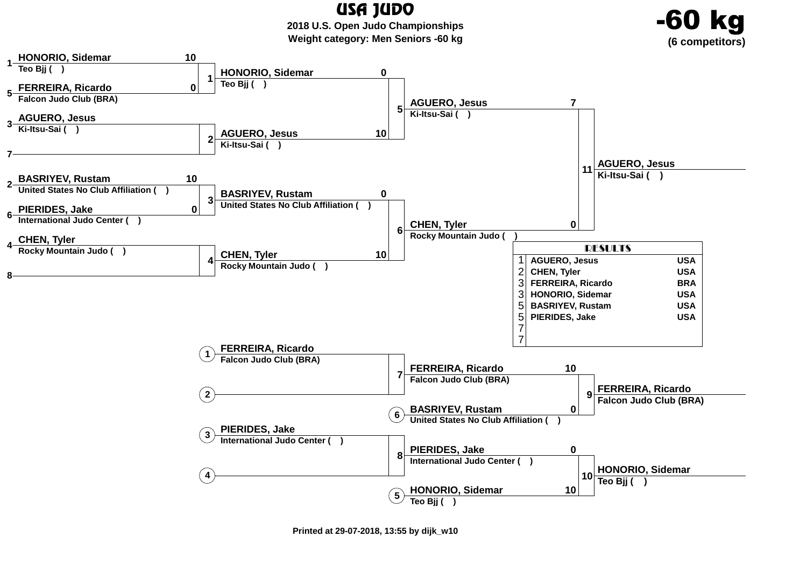USA JUDO **2018 U.S. Open Judo ChampionshipsWeight category: Men Seniors -60 kg**

kg

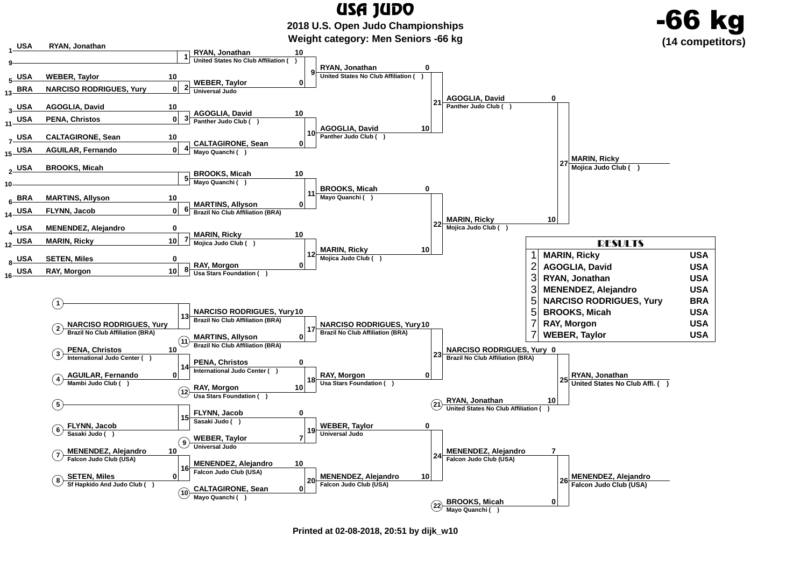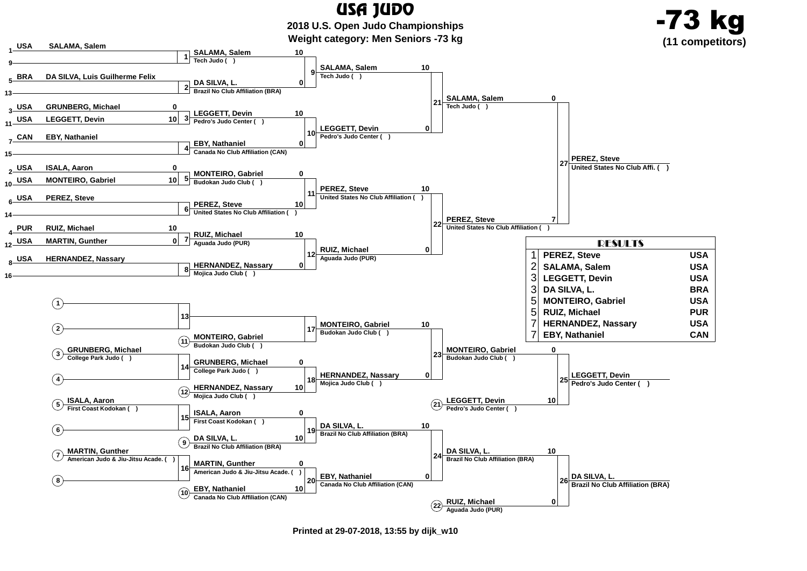

**Printed at 29-07-2018, 13:55 by dijk\_w10**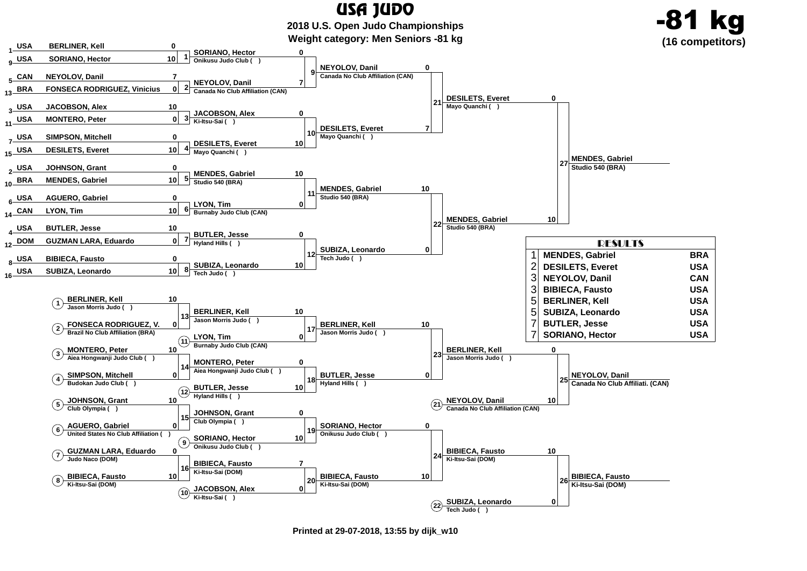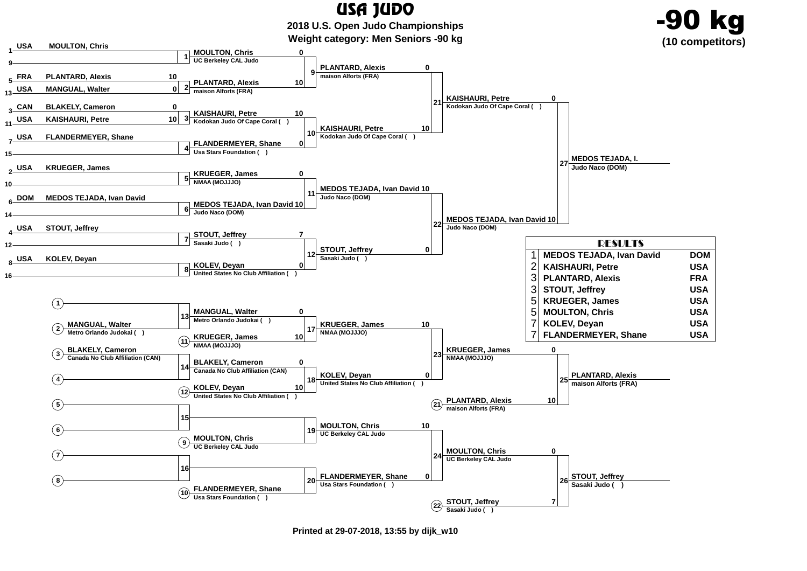

**Printed at 29-07-2018, 13:55 by dijk\_w10**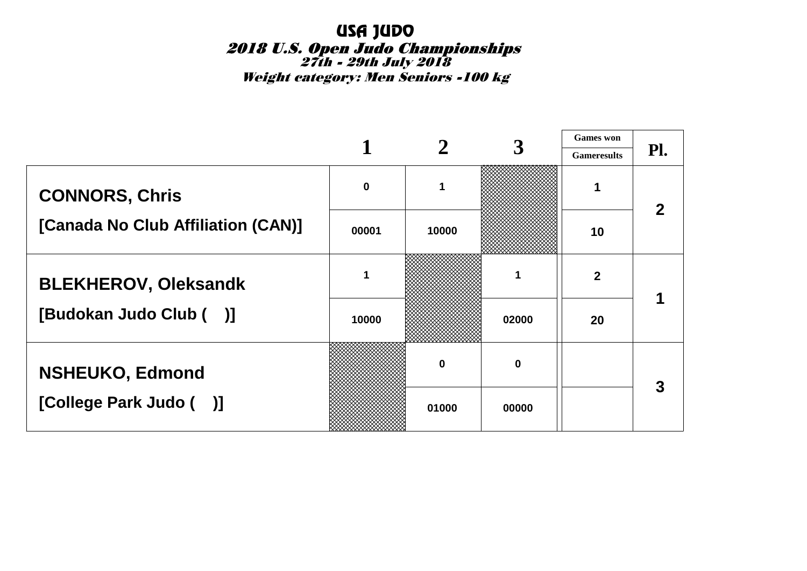Weight category: Men Seniors -100 kg

|                                    |       |          |          | <b>Games</b> won   |     |
|------------------------------------|-------|----------|----------|--------------------|-----|
|                                    |       |          |          | <b>Gameresults</b> | Pl. |
| <b>CONNORS, Chris</b>              | 0     |          |          |                    |     |
| [Canada No Club Affiliation (CAN)] | 00001 | 10000    |          | 10                 |     |
| <b>BLEKHEROV, Oleksandk</b>        | 1     |          |          | $\mathbf 2$        |     |
| [Budokan Judo Club ()]             | 10000 |          | 02000    | 20                 |     |
| <b>NSHEUKO, Edmond</b>             |       | $\bf{0}$ | $\bf{0}$ |                    | 3   |
| [College Park Judo ()]             |       | 01000    | 00000    |                    |     |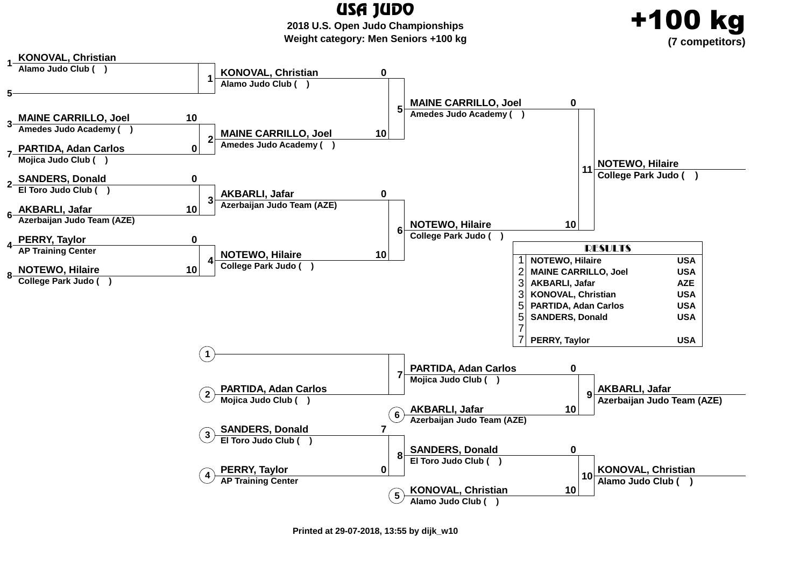USA JUDO **2018 U.S. Open Judo ChampionshipsWeight category: Men Seniors +100 kg**

+100 kg

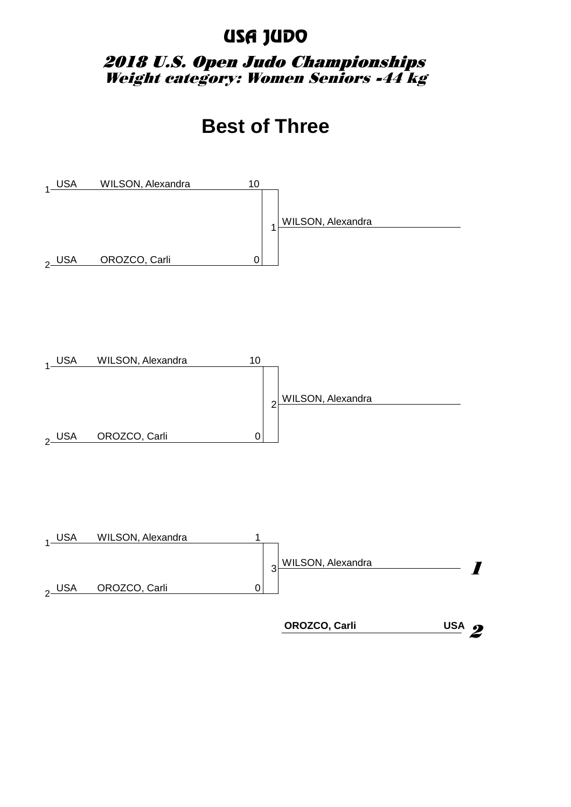#### 2018 U.S. Open Judo Championships Weight category: Women Seniors -44 kg

## **Best of Three**

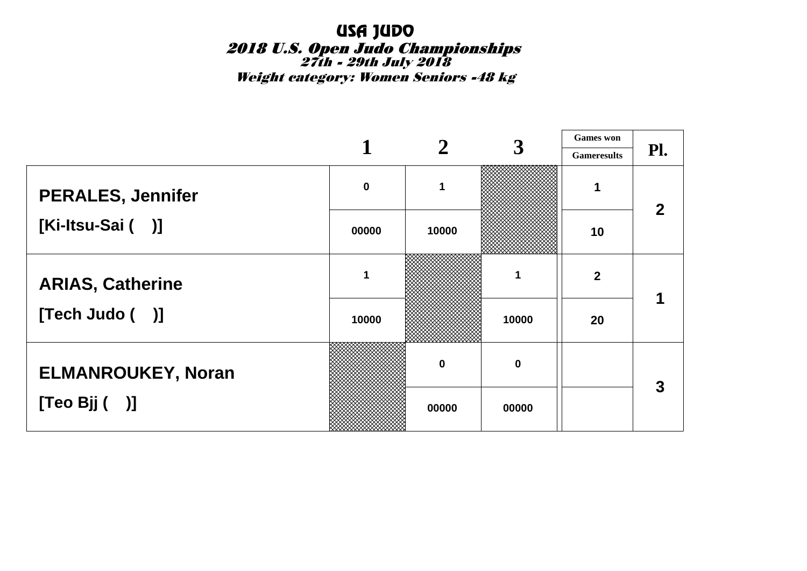Weight category: Women Seniors -48 kg

|                           |             |          | 3           | <b>Games</b> won   |     |
|---------------------------|-------------|----------|-------------|--------------------|-----|
|                           |             |          |             | <b>Gameresults</b> | Pl. |
| <b>PERALES, Jennifer</b>  | $\mathbf 0$ |          |             |                    | 2   |
| [Ki-Itsu-Sai ()]          | 00000       | 10000    |             | 10                 |     |
| <b>ARIAS, Catherine</b>   | 1           |          | 1           | $\overline{2}$     |     |
| [Tech Judo ( )]           | 10000       |          | 10000       | 20                 |     |
| <b>ELMANROUKEY, Noran</b> |             | $\bf{0}$ | $\mathbf 0$ |                    | 3   |
| [Teo Bj( )]               |             | 00000    | 00000       |                    |     |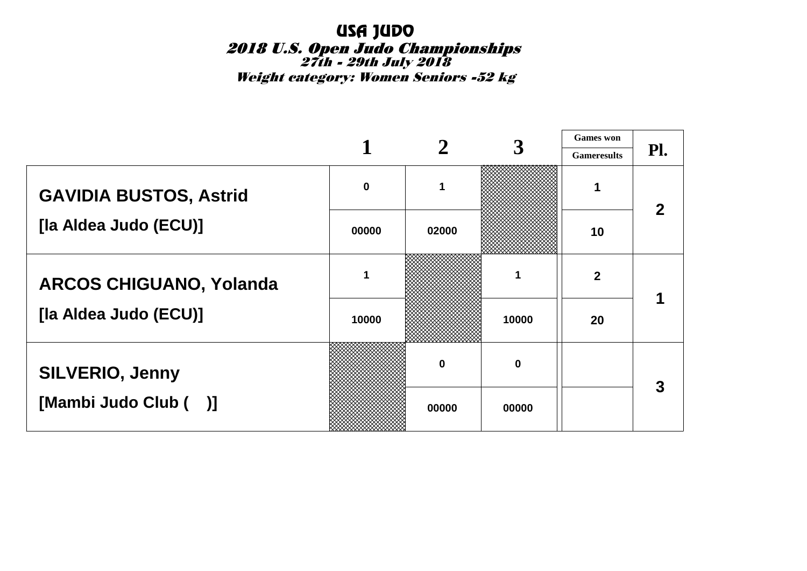Weight category: Women Seniors -52 kg

|                                |             |       | 3                | <b>Games</b> won   |     |
|--------------------------------|-------------|-------|------------------|--------------------|-----|
|                                |             |       |                  | <b>Gameresults</b> | Pl. |
| <b>GAVIDIA BUSTOS, Astrid</b>  | $\mathbf 0$ |       |                  | 1                  | 2   |
| [la Aldea Judo (ECU)]          | 00000       | 02000 |                  | 10                 |     |
| <b>ARCOS CHIGUANO, Yolanda</b> | 1           |       |                  | $\overline{2}$     |     |
| [la Aldea Judo (ECU)]          | 10000       |       | 10000            | 20                 |     |
| <b>SILVERIO, Jenny</b>         |             | 0     | $\boldsymbol{0}$ |                    | 3   |
| [Mambi Judo Club ()]           |             | 00000 | 00000            |                    |     |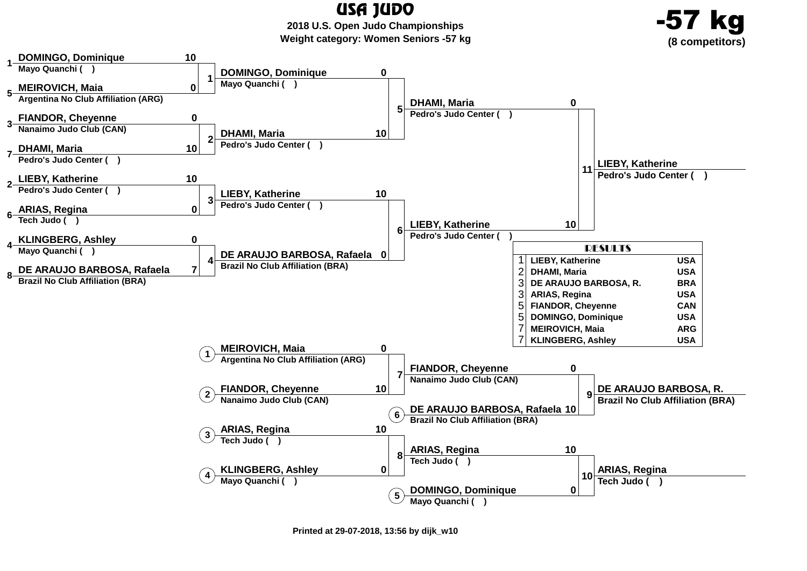**2018 U.S. Open Judo ChampionshipsWeight category: Women Seniors -57 kg**



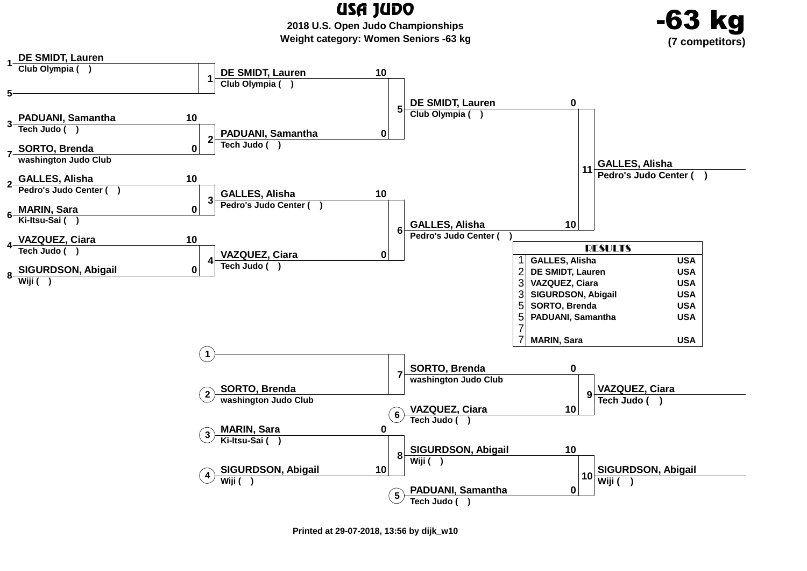**2018 U.S. Open Judo ChampionshipsWeight category: Women Seniors -63 kg**





**Printed at 29-07-2018, 13:56 by dijk\_w10**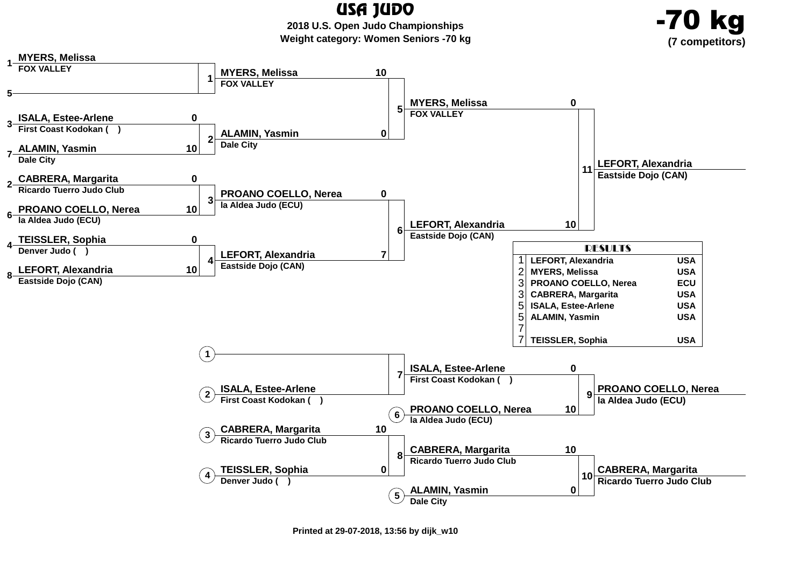-70 kg

 **2018 U.S. Open Judo ChampionshipsWeight category: Women Seniors -70 kg**